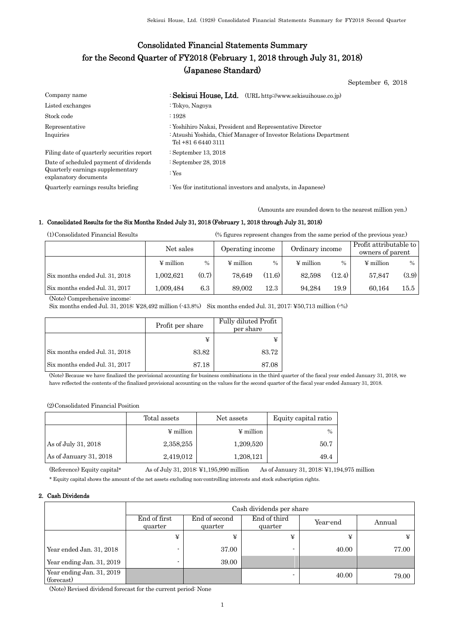# Consolidated Financial Statements Summary for the Second Quarter of FY2018 (February 1, 2018 through July 31, 2018) (Japanese Standard)

September 6, 2018

| Company name                                                                                        | : Sekisui House, Ltd. (URL http://www.sekisuihouse.co.jp)                                                                                            |
|-----------------------------------------------------------------------------------------------------|------------------------------------------------------------------------------------------------------------------------------------------------------|
| Listed exchanges                                                                                    | : Tokyo, Nagoya                                                                                                                                      |
| Stock code                                                                                          | .1928                                                                                                                                                |
| Representative<br>Inquiries                                                                         | : Yoshihiro Nakai, President and Representative Director<br>: Atsushi Yoshida, Chief Manager of Investor Relations Department<br>Tel +81 6 6440 3111 |
| Filing date of quarterly securities report                                                          | : September 13, 2018                                                                                                                                 |
| Date of scheduled payment of dividends<br>Quarterly earnings supplementary<br>explanatory documents | : September 28, 2018<br>: $Yes$                                                                                                                      |
| Quarterly earnings results briefing                                                                 | : Yes (for institutional investors and analysts, in Japanese)                                                                                        |

(Amounts are rounded down to the nearest million yen.)

#### 1. Consolidated Results for the Six Months Ended July 31, 2018 (February 1, 2018 through July 31, 2018)

(1)Consolidated Financial Results (% figures represent changes from the same period of the previous year.)

|                                | Net sales      |       | Operating income |        | Ordinary income |        | Profit attributable to<br>owners of parent |       |
|--------------------------------|----------------|-------|------------------|--------|-----------------|--------|--------------------------------------------|-------|
|                                | $\Psi$ million | $\%$  | $\Psi$ million   | $\%$   | $\Psi$ million  | $\%$   | $\frac{1}{2}$ million                      | $\%$  |
| Six months ended Jul. 31, 2018 | 1.002.621      | (0.7) | 78.649           | (11.6) | 82.598          | (12.4) | 57.847                                     | (3.9) |
| Six months ended Jul. 31, 2017 | 1,009,484      | 6.3   | 89.002           | 12.3   | 94.284          | 19.9   | 60.164                                     | 15.5  |

(Note) Comprehensive income:

Six months ended Jul. 31, 2018: ¥28,492 million (-43.8%) Six months ended Jul. 31, 2017: ¥50,713 million (-%)

|                                | Profit per share | Fully diluted Profit<br>per share |
|--------------------------------|------------------|-----------------------------------|
|                                |                  | ¥                                 |
| Six months ended Jul. 31, 2018 | 83.82            | 83.72                             |
| Six months ended Jul. 31, 2017 | 87.18            | 87.08                             |

(Note) Because we have finalized the provisional accounting for business combinations in the third quarter of the fiscal year ended January 31, 2018, we have reflected the contents of the finalized provisional accounting on the values for the second quarter of the fiscal year ended January 31, 2018.

(2)Consolidated Financial Position

|                        | Total assets   | Net assets            | Equity capital ratio |
|------------------------|----------------|-----------------------|----------------------|
|                        | $\Psi$ million | $\frac{1}{2}$ million | $\frac{0}{0}$        |
| As of July 31, 2018    | 2,358,255      | 1,209,520             | 50.7                 |
| As of January 31, 2018 | 2,419,012      | 1,208,121             | 49.4                 |

(Reference) Equity capital\* As of July 31, 2018: ¥1,195,990 million As of January 31, 2018: ¥1,194,975 million

\* Equity capital shows the amount of the net assets excluding non-controlling interests and stock subscription rights.

### 2. Cash Dividends

|                                         | Cash dividends per share |                          |                         |          |        |  |  |
|-----------------------------------------|--------------------------|--------------------------|-------------------------|----------|--------|--|--|
|                                         | End of first<br>quarter  | End of second<br>quarter | End of third<br>quarter | Year-end | Annual |  |  |
|                                         | ¥                        | ¥                        | ¥                       | ¥        | ¥      |  |  |
| Year ended Jan. 31, 2018                | -                        | 37.00                    | -                       | 40.00    | 77.00  |  |  |
| Year ending Jan. 31, 2019               |                          | 39.00                    |                         |          |        |  |  |
| Year ending Jan. 31, 2019<br>(forecast) |                          |                          |                         | 40.00    | 79.00  |  |  |

(Note) Revised dividend forecast for the current period: None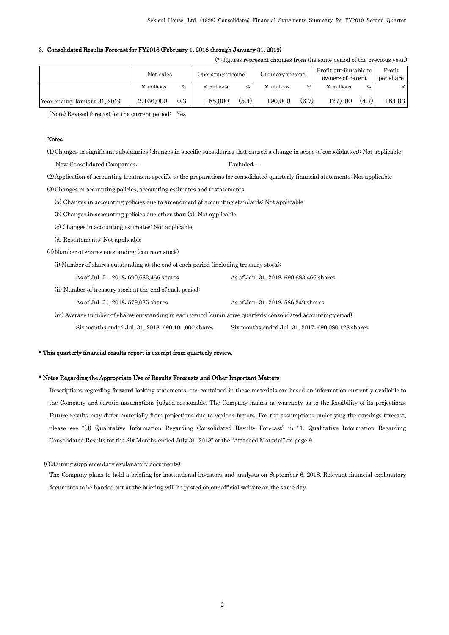#### 3. Consolidated Results Forecast for FY2018 (February 1, 2018 through January 31, 2019)

(% figures represent changes from the same period of the previous year.)

|                              | Net sales         |      | Operating income  |       | Ordinary income   |       | Profit attributable to<br>owners of parent |               | Profit<br>per share |
|------------------------------|-------------------|------|-------------------|-------|-------------------|-------|--------------------------------------------|---------------|---------------------|
|                              | $\angle$ millions | $\%$ | $\angle$ millions | $\%$  | $\angle$ millions |       | $\angle$ millions                          | $\frac{0}{0}$ | ¥                   |
| Year ending January 31, 2019 | 2.166,000         | 0.3  | 185.000           | (5.4) | 190.000           | (6.7) | 127.000                                    | (4.7)         | 184.03              |

(Note) Revised forecast for the current period: Yes

#### Notes

(1)Changes in significant subsidiaries (changes in specific subsidiaries that caused a change in scope of consolidation): Not applicable New Consolidated Companies:  $\cdot$  Excluded: (2)Application of accounting treatment specific to the preparations for consolidated quarterly financial statements: Not applicable (3)Changes in accounting policies, accounting estimates and restatements (a) Changes in accounting policies due to amendment of accounting standards: Not applicable

(b) Changes in accounting policies due other than (a): Not applicable

(c) Changes in accounting estimates: Not applicable

(d) Restatements: Not applicable

(4)Number of shares outstanding (common stock)

(i) Number of shares outstanding at the end of each period (including treasury stock):

As of Jul. 31, 2018: 690,683,466 shares As of Jan. 31, 2018: 690,683,466 shares

(ii) Number of treasury stock at the end of each period:

As of Jul. 31, 2018: 579,035 shares As of Jan. 31, 2018: 586,249 shares

 (iii) Average number of shares outstanding in each period (cumulative quarterly consolidated accounting period): Six months ended Jul. 31, 2018: 690,101,000 shares Six months ended Jul. 31, 2017: 690,080,128 shares

#### \* This quarterly financial results report is exempt from quarterly review.

#### \* Notes Regarding the Appropriate Use of Results Forecasts and Other Important Matters

Descriptions regarding forward-looking statements, etc. contained in these materials are based on information currently available to the Company and certain assumptions judged reasonable. The Company makes no warranty as to the feasibility of its projections. Future results may differ materially from projections due to various factors. For the assumptions underlying the earnings forecast, please see "(3) Qualitative Information Regarding Consolidated Results Forecast" in "1. Qualitative Information Regarding Consolidated Results for the Six Months ended July 31, 2018" of the "Attached Material" on page 9.

(Obtaining supplementary explanatory documents)

The Company plans to hold a briefing for institutional investors and analysts on September 6, 2018. Relevant financial explanatory documents to be handed out at the briefing will be posted on our official website on the same day.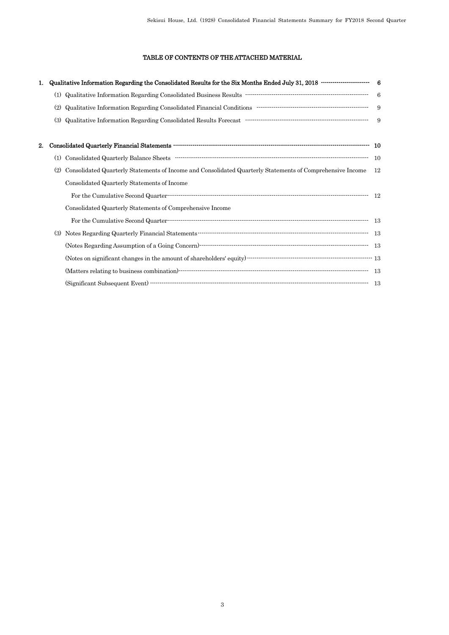# TABLE OF CONTENTS OF THE ATTACHED MATERIAL

| 1. | Qualitative Information Regarding the Consolidated Results for the Six Months Ended July 31, 2018 ························ 6                                                                                                                                                                                                                                                                                                                                                                                                                                                          |      |
|----|---------------------------------------------------------------------------------------------------------------------------------------------------------------------------------------------------------------------------------------------------------------------------------------------------------------------------------------------------------------------------------------------------------------------------------------------------------------------------------------------------------------------------------------------------------------------------------------|------|
|    | (1)                                                                                                                                                                                                                                                                                                                                                                                                                                                                                                                                                                                   | $-6$ |
|    | (2)                                                                                                                                                                                                                                                                                                                                                                                                                                                                                                                                                                                   | 9    |
|    | $\label{lem:conjugation} \textbf{Qualitative Information Regarding Consolidated Results Forecast}\footnotesize\begin{minipage}{14cm} \begin{minipage}{0.9cm} \begin{tabular}{l} \bf{0.9cm} \end{tabular} \end{minipage} \end{minipage}$<br>(3)                                                                                                                                                                                                                                                                                                                                        |      |
| 2. |                                                                                                                                                                                                                                                                                                                                                                                                                                                                                                                                                                                       |      |
|    | $\label{thm:main} \text{Considered Quarterly Balance Sheets} \quad \text{--} \quad \text{--} \quad \text{--} \quad \text{--} \quad \text{--} \quad \text{--} \quad \text{--} \quad \text{--} \quad \text{--} \quad \text{--} \quad \text{--} \quad \text{--} \quad \text{--} \quad \text{--} \quad \text{--} \quad \text{--} \quad \text{--} \quad \text{--} \quad \text{--} \quad \text{--} \quad \text{--} \quad \text{--} \quad \text{--} \quad \text{--} \quad \text{--} \quad \text{--} \quad \text{--} \quad \text{--} \quad \text{--$<br>(1)                                   | - 10 |
|    | Consolidated Quarterly Statements of Income and Consolidated Quarterly Statements of Comprehensive Income<br>(2)                                                                                                                                                                                                                                                                                                                                                                                                                                                                      | 12   |
|    | Consolidated Quarterly Statements of Income                                                                                                                                                                                                                                                                                                                                                                                                                                                                                                                                           |      |
|    | $\label{thm:main} \textsc{For the Cumulative Second Quarterly}\xspace. \textsc{Quantum}\xspace. \textsc{Quantum}\xspace. \textsc{Quantum}\xspace. \textsc{Quantum}\xspace. \textsc{quantum}\xspace. \textsc{quantum}\xspace. \textsc{quantum}\xspace. \textsc{quantum}\xspace. \textsc{quantum}\xspace. \textsc{quantum}\xspace. \textsc{quantum}\xspace. \textsc{quantum}\xspace. \textsc{quantum}\xspace. \textsc{quantum}\xspace. \textsc{quantum}\xspace. \textsc{quantum}\xspace. \textsc{quantum}\xspace. \textsc{quantum}\xspace. \textsc{quantum}\xspace. \textsc{quantum}\x$ | - 12 |
|    | Consolidated Quarterly Statements of Comprehensive Income                                                                                                                                                                                                                                                                                                                                                                                                                                                                                                                             |      |
|    |                                                                                                                                                                                                                                                                                                                                                                                                                                                                                                                                                                                       |      |
|    | (3)                                                                                                                                                                                                                                                                                                                                                                                                                                                                                                                                                                                   |      |
|    |                                                                                                                                                                                                                                                                                                                                                                                                                                                                                                                                                                                       |      |
|    | (Notes on significant changes in the amount of shareholders' equity) $\cdots$ $\cdots$ $\cdots$ $\cdots$ $\cdots$ $\cdots$ $\cdots$ $\cdots$ $\cdots$ $\cdots$ $\cdots$ $\cdots$ $\cdots$ $\cdots$ $\cdots$                                                                                                                                                                                                                                                                                                                                                                           |      |
|    |                                                                                                                                                                                                                                                                                                                                                                                                                                                                                                                                                                                       |      |
|    |                                                                                                                                                                                                                                                                                                                                                                                                                                                                                                                                                                                       |      |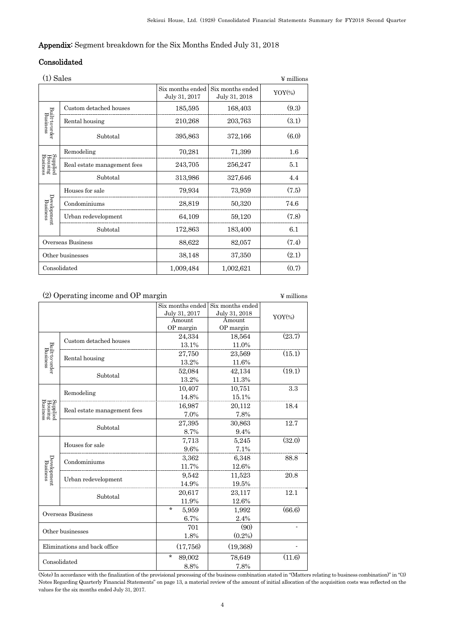# Appendix: Segment breakdown for the Six Months Ended July 31, 2018

# Consolidated

|                                 | $(1)$ Sales<br>$\Psi$ millions |                                   |                                   |           |  |  |
|---------------------------------|--------------------------------|-----------------------------------|-----------------------------------|-----------|--|--|
|                                 |                                | Six months ended<br>July 31, 2017 | Six months ended<br>July 31, 2018 | $YOY$ (%) |  |  |
|                                 | Custom detached houses         | 185,595                           | 168,403                           | (9.3)     |  |  |
| Built-to-order<br>Business      | Rental housing                 | 210,268                           | 203,763                           | (3.1)     |  |  |
|                                 | Subtotal                       | 395,863                           | 372,166                           | (6.0)     |  |  |
|                                 | Remodeling                     | 70,281                            | 71,399                            | 1.6       |  |  |
| Supplied<br>Housing<br>Business | Real estate management fees    | 243,705                           | 256,247                           | 5.1       |  |  |
|                                 | Subtotal                       | 313,986                           | 327,646                           | 4.4       |  |  |
|                                 | Houses for sale                | 79,934                            | 73,959                            | (7.5)     |  |  |
| Development<br>Business         | Condominiums                   | 28,819                            | 50,320                            | 74.6      |  |  |
|                                 | Urban redevelopment            | 64,109                            | 59,120                            | (7.8)     |  |  |
|                                 | Subtotal                       | 172,863                           | 183,400                           | 6.1       |  |  |
|                                 | Overseas Business              | 88,622                            | 82,057                            | (7.4)     |  |  |
| Other businesses                |                                | 38,148                            | 37,350                            | (2.1)     |  |  |
|                                 | Consolidated                   | 1,009,484                         | 1,002,621                         | (0.7)     |  |  |

# (2) Operating income and OP margin  $\angle$  ¥ millions

|                                 |                              | Six months ended   | Six months ended |           |
|---------------------------------|------------------------------|--------------------|------------------|-----------|
|                                 |                              | July 31, 2017      | July 31, 2018    |           |
|                                 |                              | Amount             | Amount           | $YOY$ (%) |
|                                 |                              | OP margin          | OP margin        |           |
|                                 |                              |                    |                  | (23.7)    |
|                                 | Custom detached houses       | 24,334             | 18,564           |           |
|                                 |                              | 13.1%              | 11.0%            |           |
|                                 | Rental housing               | 27,750             | 23,569           | (15.1)    |
| Built-to-order<br>Business      |                              | 13.2%              | 11.6%            |           |
|                                 | Subtotal                     | 52,084             | 42,134           | (19.1)    |
|                                 |                              | 13.2%              | 11.3%            |           |
|                                 |                              | 10,407             | 10,751           | 3.3       |
|                                 | Remodeling                   | 14.8%              | 15.1%            |           |
| Supplied<br>Housing<br>Business |                              | 16,987             | 20,112           | 18.4      |
|                                 | Real estate management fees  | 7.0%               | 7.8%             |           |
|                                 |                              | 27,395             | 30,863           | 12.7      |
|                                 | Subtotal                     | 8.7%               | 9.4%             |           |
|                                 |                              | 7,713              | 5,245            | (32.0)    |
|                                 | Houses for sale              | 9.6%               | 7.1%             |           |
|                                 |                              | 3,362              | 6,348            | 88.8      |
|                                 | Condominiums                 | 11.7%              | 12.6%            |           |
| Development<br>Business         |                              | 9,542              | 11,523           | 20.8      |
|                                 | Urban redevelopment          | 14.9%              | 19.5%            |           |
|                                 |                              | 20,617             | 23,117           | 12.1      |
|                                 | Subtotal                     | 11.9%              | 12.6%            |           |
|                                 |                              | $\star$<br>5,959   | 1,992            | (66.6)    |
|                                 | Overseas Business            | 6.7%               | 2.4%             |           |
|                                 |                              |                    | (90)             |           |
| Other businesses                |                              | 701                |                  |           |
|                                 |                              | 1.8%               | $(0.2\%)$        |           |
|                                 | Eliminations and back office | (17, 756)          | (19,368)         |           |
|                                 |                              | $^\star$<br>89,002 | 78,649           | (11.6)    |
| Consolidated                    |                              | 8.8%               | 7.8%             |           |

(Note) In accordance with the finalization of the provisional processing of the business combination stated in "(Matters relating to business combination)" in "(3) Notes Regarding Quarterly Financial Statements" on page 13, a material review of the amount of initial allocation of the acquisition costs was reflected on the values for the six months ended July 31, 2017.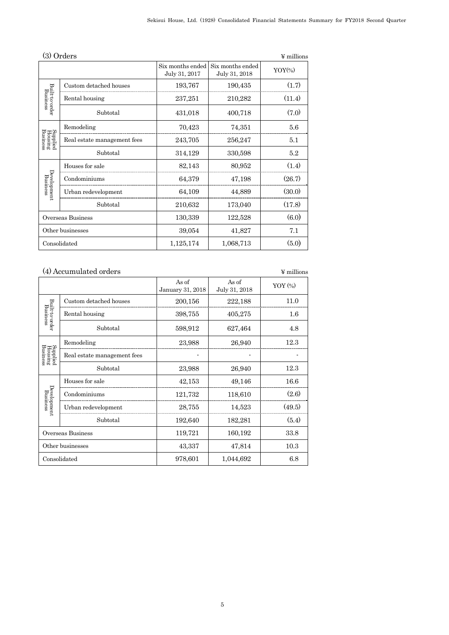|                                 | (3) Orders<br>$\Psi$ millions |                                   |                                   |         |  |  |
|---------------------------------|-------------------------------|-----------------------------------|-----------------------------------|---------|--|--|
|                                 |                               | Six months ended<br>July 31, 2017 | Six months ended<br>July 31, 2018 | $YOY\%$ |  |  |
|                                 | Custom detached houses        | 193,767                           | 190,435                           | (1.7)   |  |  |
| Built-to-order<br>Business      | Rental housing                | 237,251                           | 210,282                           | (11.4)  |  |  |
|                                 | Subtotal                      | 431,018                           | 400,718                           | (7.0)   |  |  |
|                                 | Remodeling                    | 70,423                            | 74,351                            | 5.6     |  |  |
| Supplied<br>Housing<br>Business | Real estate management fees   | 243,705                           | 256,247                           | 5.1     |  |  |
|                                 | Subtotal                      | 314,129                           | 330,598                           | 5.2     |  |  |
|                                 | Houses for sale               | 82,143                            | 80,952                            | (1.4)   |  |  |
| Development<br>Business         | Condominiums                  | 64,379                            | 47,198                            | (26.7)  |  |  |
|                                 | Urban redevelopment           | 64,109                            | 44,889                            | (30.0)  |  |  |
|                                 | Subtotal                      | 210,632                           | 173,040                           | (17.8)  |  |  |
|                                 | Overseas Business             | 130,339                           | 122,528                           | (6.0)   |  |  |
|                                 | Other businesses              | 39,054                            | 41,827                            | 7.1     |  |  |
|                                 | Consolidated                  | 1,125,174                         | 1,068,713                         | (5.0)   |  |  |

|                                 | (4) Accumulated orders      |                           |                        | $\Psi$ millions |
|---------------------------------|-----------------------------|---------------------------|------------------------|-----------------|
|                                 |                             | As of<br>January 31, 2018 | As of<br>July 31, 2018 | $YOY$ $(*)$     |
|                                 | Custom detached houses      | 200,156                   | 222,188                | 11.0            |
| Built-to-order<br>Business      | Rental housing              | 398,755                   | 405,275                | $1.6\,$         |
|                                 | Subtotal                    | 598,912                   | 627,464                | 4.8             |
|                                 | Remodeling                  | 23,988                    | 26,940                 | 12.3            |
| Supplied<br>Housing<br>Business | Real estate management fees |                           |                        |                 |
|                                 | Subtotal                    | 23,988                    | 26,940                 | 12.3            |
|                                 | Houses for sale             | 42,153                    | 49,146                 | 16.6            |
| Development<br>Business         | Condominiums                | 121,732                   | 118,610                | (2.6)           |
|                                 | Urban redevelopment         | 28,755                    | 14,523                 | (49.5)          |
|                                 | Subtotal                    | 192,640                   | 182,281                | (5.4)           |
|                                 | Overseas Business           | 119,721                   | 160,192                | 33.8            |
|                                 | Other businesses            | 43,337                    | 47,814                 | 10.3            |
|                                 | Consolidated                | 978,601                   | 1,044,692              | 6.8             |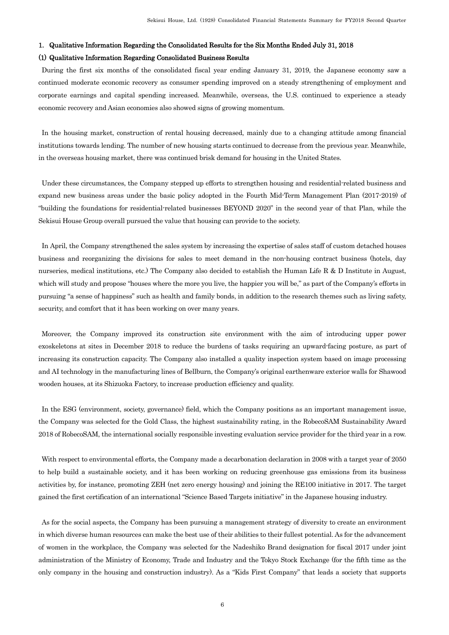# 1. Qualitative Information Regarding the Consolidated Results for the Six Months Ended July 31, 2018

# (1) Qualitative Information Regarding Consolidated Business Results

During the first six months of the consolidated fiscal year ending January 31, 2019, the Japanese economy saw a continued moderate economic recovery as consumer spending improved on a steady strengthening of employment and corporate earnings and capital spending increased. Meanwhile, overseas, the U.S. continued to experience a steady economic recovery and Asian economies also showed signs of growing momentum.

In the housing market, construction of rental housing decreased, mainly due to a changing attitude among financial institutions towards lending. The number of new housing starts continued to decrease from the previous year. Meanwhile, in the overseas housing market, there was continued brisk demand for housing in the United States.

Under these circumstances, the Company stepped up efforts to strengthen housing and residential-related business and expand new business areas under the basic policy adopted in the Fourth Mid-Term Management Plan (2017-2019) of "building the foundations for residential-related businesses BEYOND 2020" in the second year of that Plan, while the Sekisui House Group overall pursued the value that housing can provide to the society.

In April, the Company strengthened the sales system by increasing the expertise of sales staff of custom detached houses business and reorganizing the divisions for sales to meet demand in the non-housing contract business (hotels, day nurseries, medical institutions, etc.) The Company also decided to establish the Human Life R & D Institute in August, which will study and propose "houses where the more you live, the happier you will be," as part of the Company's efforts in pursuing "a sense of happiness" such as health and family bonds, in addition to the research themes such as living safety, security, and comfort that it has been working on over many years.

Moreover, the Company improved its construction site environment with the aim of introducing upper power exoskeletons at sites in December 2018 to reduce the burdens of tasks requiring an upward-facing posture, as part of increasing its construction capacity. The Company also installed a quality inspection system based on image processing and AI technology in the manufacturing lines of Bellburn, the Company's original earthenware exterior walls for Shawood wooden houses, at its Shizuoka Factory, to increase production efficiency and quality.

In the ESG (environment, society, governance) field, which the Company positions as an important management issue, the Company was selected for the Gold Class, the highest sustainability rating, in the RobecoSAM Sustainability Award 2018 of RobecoSAM, the international socially responsible investing evaluation service provider for the third year in a row.

With respect to environmental efforts, the Company made a decarbonation declaration in 2008 with a target year of 2050 to help build a sustainable society, and it has been working on reducing greenhouse gas emissions from its business activities by, for instance, promoting ZEH (net zero energy housing) and joining the RE100 initiative in 2017. The target gained the first certification of an international "Science Based Targets initiative" in the Japanese housing industry.

As for the social aspects, the Company has been pursuing a management strategy of diversity to create an environment in which diverse human resources can make the best use of their abilities to their fullest potential. As for the advancement of women in the workplace, the Company was selected for the Nadeshiko Brand designation for fiscal 2017 under joint administration of the Ministry of Economy, Trade and Industry and the Tokyo Stock Exchange (for the fifth time as the only company in the housing and construction industry). As a "Kids First Company" that leads a society that supports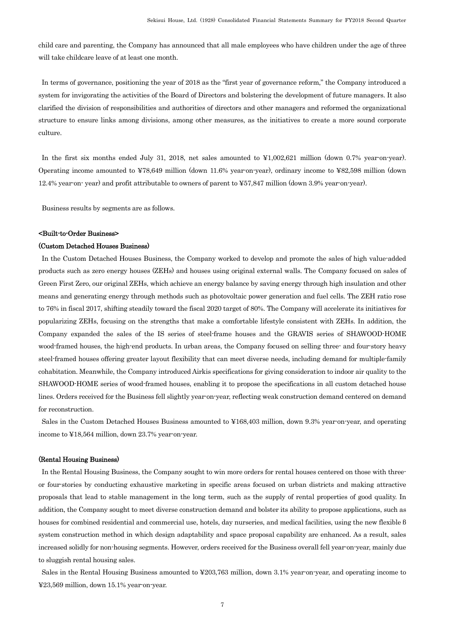child care and parenting, the Company has announced that all male employees who have children under the age of three will take childcare leave of at least one month.

In terms of governance, positioning the year of 2018 as the "first year of governance reform," the Company introduced a system for invigorating the activities of the Board of Directors and bolstering the development of future managers. It also clarified the division of responsibilities and authorities of directors and other managers and reformed the organizational structure to ensure links among divisions, among other measures, as the initiatives to create a more sound corporate culture.

In the first six months ended July 31, 2018, net sales amounted to ¥1,002,621 million (down 0.7% year-on-year). Operating income amounted to ¥78,649 million (down 11.6% year-on-year), ordinary income to ¥82,598 million (down 12.4% year-on- year) and profit attributable to owners of parent to ¥57,847 million (down 3.9% year-on-year).

Business results by segments are as follows.

#### <Built-to-Order Business>

#### (Custom Detached Houses Business)

In the Custom Detached Houses Business, the Company worked to develop and promote the sales of high value-added products such as zero energy houses (ZEHs) and houses using original external walls. The Company focused on sales of Green First Zero, our original ZEHs, which achieve an energy balance by saving energy through high insulation and other means and generating energy through methods such as photovoltaic power generation and fuel cells. The ZEH ratio rose to 76% in fiscal 2017, shifting steadily toward the fiscal 2020 target of 80%. The Company will accelerate its initiatives for popularizing ZEHs, focusing on the strengths that make a comfortable lifestyle consistent with ZEHs. In addition, the Company expanded the sales of the IS series of steel-frame houses and the GRAVIS series of SHAWOOD-HOME wood-framed houses, the high-end products. In urban areas, the Company focused on selling three- and four-story heavy steel-framed houses offering greater layout flexibility that can meet diverse needs, including demand for multiple-family cohabitation. Meanwhile, the Company introduced Airkis specifications for giving consideration to indoor air quality to the SHAWOOD-HOME series of wood-framed houses, enabling it to propose the specifications in all custom detached house lines. Orders received for the Business fell slightly year-on-year, reflecting weak construction demand centered on demand for reconstruction.

Sales in the Custom Detached Houses Business amounted to ¥168,403 million, down 9.3% year-on-year, and operating income to ¥18,564 million, down 23.7% year-on-year.

#### (Rental Housing Business)

In the Rental Housing Business, the Company sought to win more orders for rental houses centered on those with threeor four-stories by conducting exhaustive marketing in specific areas focused on urban districts and making attractive proposals that lead to stable management in the long term, such as the supply of rental properties of good quality. In addition, the Company sought to meet diverse construction demand and bolster its ability to propose applications, such as houses for combined residential and commercial use, hotels, day nurseries, and medical facilities, using the new flexible β system construction method in which design adaptability and space proposal capability are enhanced. As a result, sales increased solidly for non-housing segments. However, orders received for the Business overall fell year-on-year, mainly due to sluggish rental housing sales.

Sales in the Rental Housing Business amounted to ¥203,763 million, down 3.1% year-on-year, and operating income to ¥23,569 million, down 15.1% year-on-year.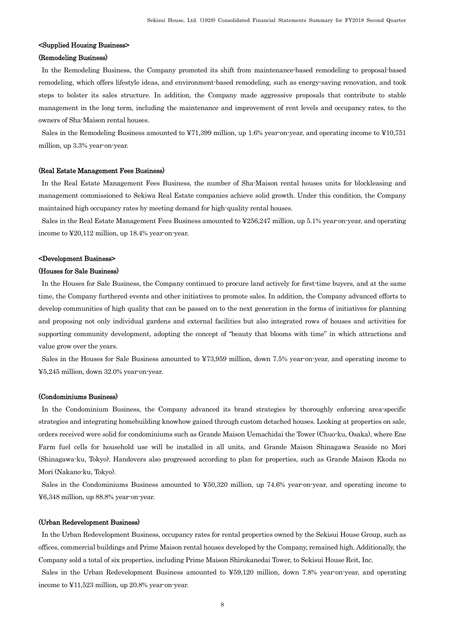# <Supplied Housing Business>

## (Remodeling Business)

In the Remodeling Business, the Company promoted its shift from maintenance-based remodeling to proposal-based remodeling, which offers lifestyle ideas, and environment-based remodeling, such as energy-saving renovation, and took steps to bolster its sales structure. In addition, the Company made aggressive proposals that contribute to stable management in the long term, including the maintenance and improvement of rent levels and occupancy rates, to the owners of Sha-Maison rental houses.

Sales in the Remodeling Business amounted to ¥71,399 million, up 1.6% year-on-year, and operating income to ¥10,751 million, up 3.3% year-on-year.

#### (Real Estate Management Fees Business)

In the Real Estate Management Fees Business, the number of Sha-Maison rental houses units for blockleasing and management commissioned to Sekiwa Real Estate companies achieve solid growth. Under this condition, the Company maintained high occupancy rates by meeting demand for high-quality rental houses.

Sales in the Real Estate Management Fees Business amounted to ¥256,247 million, up 5.1% year-on-year, and operating income to ¥20,112 million, up 18.4% year-on-year.

#### <Development Business>

#### (Houses for Sale Business)

In the Houses for Sale Business, the Company continued to procure land actively for first-time buyers, and at the same time, the Company furthered events and other initiatives to promote sales. In addition, the Company advanced efforts to develop communities of high quality that can be passed on to the next generation in the forms of initiatives for planning and proposing not only individual gardens and external facilities but also integrated rows of houses and activities for supporting community development, adopting the concept of "beauty that blooms with time" in which attractions and value grow over the years.

Sales in the Houses for Sale Business amounted to ¥73,959 million, down 7.5% year-on-year, and operating income to ¥5,245 million, down 32.0% year-on-year.

#### (Condominiums Business)

In the Condominium Business, the Company advanced its brand strategies by thoroughly enforcing area-specific strategies and integrating homebuilding knowhow gained through custom detached houses. Looking at properties on sale, orders received were solid for condominiums such as Grande Maison Uemachidai the Tower (Chuo-ku, Osaka), where Ene Farm fuel cells for household use will be installed in all units, and Grande Maison Shinagawa Seaside no Mori (Shinagawa-ku, Tokyo). Handovers also progressed according to plan for properties, such as Grande Maison Ekoda no Mori (Nakano-ku, Tokyo).

Sales in the Condominiums Business amounted to ¥50,320 million, up 74.6% year-on-year, and operating income to ¥6,348 million, up 88.8% year-on-year.

#### (Urban Redevelopment Business)

In the Urban Redevelopment Business, occupancy rates for rental properties owned by the Sekisui House Group, such as offices, commercial buildings and Prime Maison rental houses developed by the Company, remained high. Additionally, the Company sold a total of six properties, including Prime Maison Shirokanedai Tower, to Sekisui House Reit, Inc.

Sales in the Urban Redevelopment Business amounted to ¥59,120 million, down 7.8% year-on-year, and operating income to ¥11,523 million, up 20.8% year-on-year.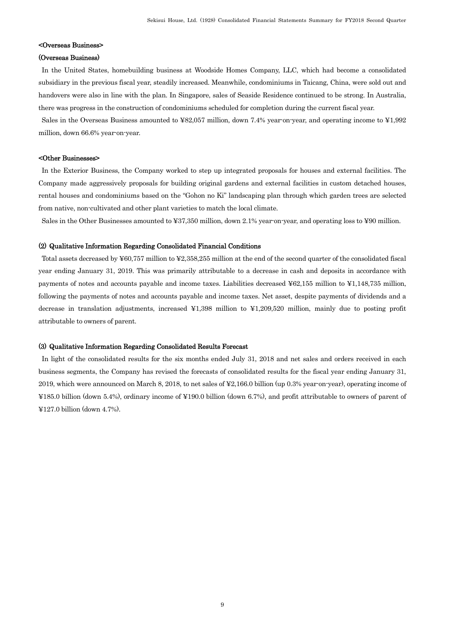### <Overseas Business>

#### (Overseas Business)

In the United States, homebuilding business at Woodside Homes Company, LLC, which had become a consolidated subsidiary in the previous fiscal year, steadily increased. Meanwhile, condominiums in Taicang, China, were sold out and handovers were also in line with the plan. In Singapore, sales of Seaside Residence continued to be strong. In Australia, there was progress in the construction of condominiums scheduled for completion during the current fiscal year.

Sales in the Overseas Business amounted to ¥82,057 million, down 7.4% year-on-year, and operating income to ¥1,992 million, down 66.6% year-on-year.

#### <Other Businesses>

In the Exterior Business, the Company worked to step up integrated proposals for houses and external facilities. The Company made aggressively proposals for building original gardens and external facilities in custom detached houses, rental houses and condominiums based on the "Gohon no Ki" landscaping plan through which garden trees are selected from native, non-cultivated and other plant varieties to match the local climate.

Sales in the Other Businesses amounted to ¥37,350 million, down 2.1% year-on-year, and operating loss to ¥90 million.

#### (2) Qualitative Information Regarding Consolidated Financial Conditions

Total assets decreased by ¥60,757 million to ¥2,358,255 million at the end of the second quarter of the consolidated fiscal year ending January 31, 2019. This was primarily attributable to a decrease in cash and deposits in accordance with payments of notes and accounts payable and income taxes. Liabilities decreased ¥62,155 million to ¥1,148,735 million, following the payments of notes and accounts payable and income taxes. Net asset, despite payments of dividends and a decrease in translation adjustments, increased ¥1,398 million to ¥1,209,520 million, mainly due to posting profit attributable to owners of parent.

#### (3) Qualitative Information Regarding Consolidated Results Forecast

In light of the consolidated results for the six months ended July 31, 2018 and net sales and orders received in each business segments, the Company has revised the forecasts of consolidated results for the fiscal year ending January 31, 2019, which were announced on March 8, 2018, to net sales of ¥2,166.0 billion (up 0.3% year-on-year), operating income of ¥185.0 billion (down 5.4%), ordinary income of ¥190.0 billion (down 6.7%), and profit attributable to owners of parent of ¥127.0 billion (down 4.7%).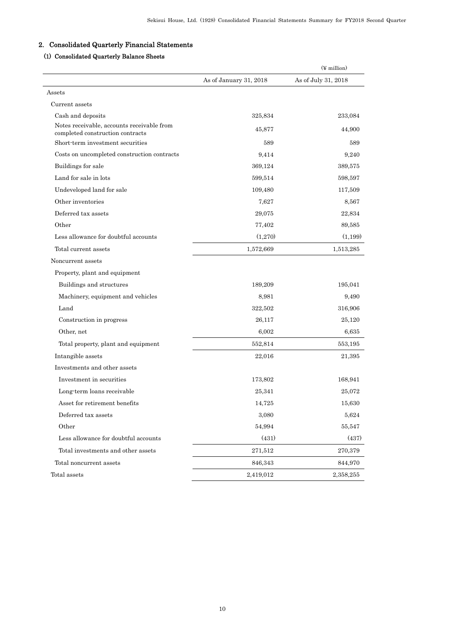# 2. Consolidated Quarterly Financial Statements

# (1) Consolidated Quarterly Balance Sheets

|                                                                                |                        | $(\frac{1}{2}$ million) |
|--------------------------------------------------------------------------------|------------------------|-------------------------|
|                                                                                | As of January 31, 2018 | As of July 31, 2018     |
| Assets                                                                         |                        |                         |
| Current assets                                                                 |                        |                         |
| Cash and deposits                                                              | 325,834                | 233,084                 |
| Notes receivable, accounts receivable from<br>completed construction contracts | 45,877                 | 44,900                  |
| Short-term investment securities                                               | 589                    | 589                     |
| Costs on uncompleted construction contracts                                    | 9,414                  | 9,240                   |
| Buildings for sale                                                             | 369,124                | 389,575                 |
| Land for sale in lots                                                          | 599,514                | 598,597                 |
| Undeveloped land for sale                                                      | 109,480                | 117,509                 |
| Other inventories                                                              | 7,627                  | 8,567                   |
| Deferred tax assets                                                            | 29,075                 | 22,834                  |
| Other                                                                          | 77,402                 | 89,585                  |
| Less allowance for doubtful accounts                                           | (1,270)                | (1,199)                 |
| Total current assets                                                           | 1,572,669              | 1,513,285               |
| Noncurrent assets                                                              |                        |                         |
| Property, plant and equipment                                                  |                        |                         |
| Buildings and structures                                                       | 189,209                | 195,041                 |
| Machinery, equipment and vehicles                                              | 8,981                  | 9,490                   |
| Land                                                                           | 322,502                | 316,906                 |
| Construction in progress                                                       | 26,117                 | 25,120                  |
| Other, net                                                                     | 6,002                  | 6,635                   |
| Total property, plant and equipment                                            | 552,814                | 553,195                 |
| Intangible assets                                                              | 22,016                 | 21,395                  |
| Investments and other assets                                                   |                        |                         |
| Investment in securities                                                       | 173,802                | 168,941                 |
| Long term loans receivable                                                     | 25,341                 | 25,072                  |
| Asset for retirement benefits                                                  | 14,725                 | 15,630                  |
| Deferred tax assets                                                            | 3,080                  | 5,624                   |
| Other                                                                          | 54,994                 | 55,547                  |
| Less allowance for doubtful accounts                                           | (431)                  | (437)                   |
| Total investments and other assets                                             | 271,512                | 270,379                 |
| Total noncurrent assets                                                        | 846,343                | 844,970                 |
| Total assets                                                                   | 2,419,012              | 2,358,255               |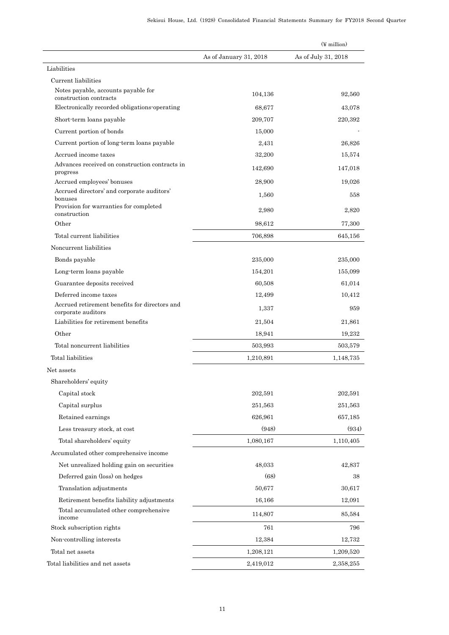|                                                                     |                        | $(\frac{1}{2}$ million) |
|---------------------------------------------------------------------|------------------------|-------------------------|
|                                                                     | As of January 31, 2018 | As of July 31, 2018     |
| Liabilities                                                         |                        |                         |
| Current liabilities                                                 |                        |                         |
| Notes payable, accounts payable for<br>construction contracts       | 104,136                | 92,560                  |
| Electronically recorded obligations operating                       | 68,677                 | 43,078                  |
| Short-term loans payable                                            | 209,707                | 220,392                 |
| Current portion of bonds                                            | 15,000                 |                         |
| Current portion of long-term loans payable                          | 2,431                  | 26,826                  |
| Accrued income taxes                                                | 32,200                 | 15,574                  |
| Advances received on construction contracts in<br>progress          | 142,690                | 147,018                 |
| Accrued employees' bonuses                                          | 28,900                 | 19,026                  |
| Accrued directors' and corporate auditors'<br>bonuses               | 1,560                  | 558                     |
| Provision for warranties for completed<br>construction              | 2,980                  | 2,820                   |
| Other                                                               | 98.612                 | 77,300                  |
| Total current liabilities                                           | 706,898                | 645,156                 |
| Noncurrent liabilities                                              |                        |                         |
| Bonds payable                                                       | 235,000                | 235,000                 |
| Long-term loans payable                                             | 154,201                | 155,099                 |
| Guarantee deposits received                                         | 60,508                 | 61,014                  |
| Deferred income taxes                                               | 12,499                 | 10,412                  |
| Accrued retirement benefits for directors and<br>corporate auditors | 1,337                  | 959                     |
| Liabilities for retirement benefits                                 | 21,504                 | 21,861                  |
| Other                                                               | 18,941                 | 19,232                  |
| Total noncurrent liabilities                                        | 503,993                | 503,579                 |
| Total liabilities                                                   | 1,210,891              | 1,148,735               |
| Net assets                                                          |                        |                         |
| Shareholders' equity                                                |                        |                         |
| Capital stock                                                       | 202,591                | 202,591                 |
| Capital surplus                                                     | 251,563                | 251,563                 |
| Retained earnings                                                   | 626,961                | 657,185                 |
| Less treasury stock, at cost                                        | (948)                  | (934)                   |
| Total shareholders' equity                                          | 1,080,167              | 1,110,405               |
| Accumulated other comprehensive income                              |                        |                         |
| Net unrealized holding gain on securities                           | 48,033                 | 42,837                  |
| Deferred gain (loss) on hedges                                      | (68)                   | 38                      |
| Translation adjustments                                             | 50,677                 | 30,617                  |
| Retirement benefits liability adjustments                           | 16,166                 | 12,091                  |
| Total accumulated other comprehensive<br>income                     | 114,807                | 85,584                  |
| Stock subscription rights                                           | 761                    | 796                     |
| Non-controlling interests                                           | 12,384                 | 12,732                  |
| Total net assets                                                    | 1,208,121              | 1,209,520               |
| Total liabilities and net assets                                    | 2,419,012              | 2,358,255               |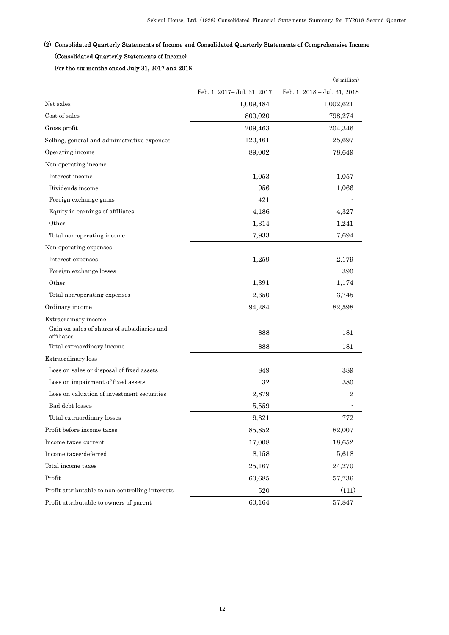# (2) Consolidated Quarterly Statements of Income and Consolidated Quarterly Statements of Comprehensive Income (Consolidated Quarterly Statements of Income)

For the six months ended July 31, 2017 and 2018

|                                                           |                              | $(\frac{y}{x})$ million      |
|-----------------------------------------------------------|------------------------------|------------------------------|
|                                                           | Feb. 1, 2017 - Jul. 31, 2017 | Feb. 1, 2018 - Jul. 31, 2018 |
| Net sales                                                 | 1,009,484                    | 1,002,621                    |
| Cost of sales                                             | 800,020                      | 798,274                      |
| Gross profit                                              | 209,463                      | 204,346                      |
| Selling, general and administrative expenses              | 120,461                      | 125,697                      |
| Operating income                                          | 89,002                       | 78,649                       |
| Non-operating income                                      |                              |                              |
| Interest income                                           | 1,053                        | 1,057                        |
| Dividends income                                          | 956                          | 1,066                        |
| Foreign exchange gains                                    | 421                          |                              |
| Equity in earnings of affiliates                          | 4,186                        | 4,327                        |
| Other                                                     | 1,314                        | 1,241                        |
| Total non-operating income                                | 7,933                        | 7,694                        |
| Non-operating expenses                                    |                              |                              |
| Interest expenses                                         | 1,259                        | 2,179                        |
| Foreign exchange losses                                   |                              | 390                          |
| Other                                                     | 1,391                        | 1,174                        |
| Total non-operating expenses                              | 2,650                        | 3,745                        |
| Ordinary income                                           | 94,284                       | 82,598                       |
| Extraordinary income                                      |                              |                              |
| Gain on sales of shares of subsidiaries and<br>affiliates | 888                          | 181                          |
| Total extraordinary income                                | 888                          | 181                          |
| Extraordinary loss                                        |                              |                              |
| Loss on sales or disposal of fixed assets                 | 849                          | 389                          |
| Loss on impairment of fixed assets                        | 32                           | 380                          |
| Loss on valuation of investment securities                | 2,879                        | $\overline{2}$               |
| Bad debt losses                                           | 5,559                        |                              |
| Total extraordinary losses                                | 9,321                        | 772                          |
| Profit before income taxes                                | 85,852                       | 82,007                       |
| Income taxes-current                                      | 17,008                       | 18,652                       |
| Income taxes-deferred                                     | 8,158                        | 5,618                        |
| Total income taxes                                        | 25,167                       | 24,270                       |
| Profit                                                    | 60,685                       | 57,736                       |
| Profit attributable to non-controlling interests          | 520                          | (111)                        |
| Profit attributable to owners of parent                   | 60,164                       | 57,847                       |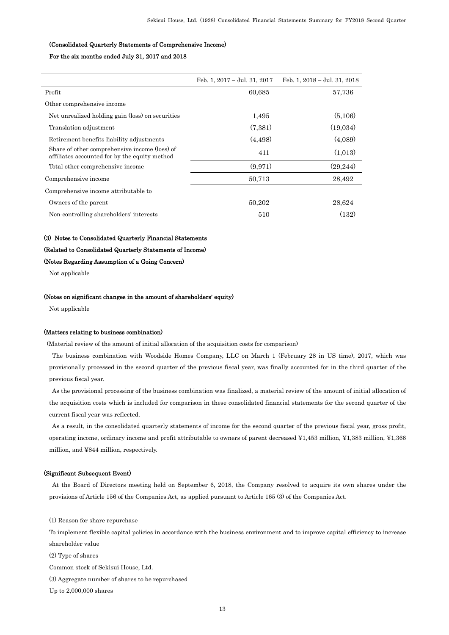## (Consolidated Quarterly Statements of Comprehensive Income)

#### For the six months ended July 31, 2017 and 2018

|                                                                                                | Feb. 1, 2017 - Jul. 31, 2017 | Feb. 1, $2018 -$ Jul. 31, $2018$ |
|------------------------------------------------------------------------------------------------|------------------------------|----------------------------------|
| Profit                                                                                         | 60,685                       | 57,736                           |
| Other comprehensive income                                                                     |                              |                                  |
| Net unrealized holding gain (loss) on securities                                               | 1,495                        | (5,106)                          |
| Translation adjustment                                                                         | (7,381)                      | (19,034)                         |
| Retirement benefits liability adjustments                                                      | (4,498)                      | (4,089)                          |
| Share of other comprehensive income (loss) of<br>affiliates accounted for by the equity method | 411                          | (1.013)                          |
| Total other comprehensive income                                                               | (9,971)                      | (29, 244)                        |
| Comprehensive income                                                                           | 50,713                       | 28,492                           |
| Comprehensive income attributable to                                                           |                              |                                  |
| Owners of the parent                                                                           | 50,202                       | 28,624                           |
| Non-controlling shareholders' interests                                                        | 510                          | (132)                            |

#### (3) Notes to Consolidated Quarterly Financial Statements

#### (Related to Consolidated Quarterly Statements of Income)

### (Notes Regarding Assumption of a Going Concern)

Not applicable

#### (Notes on significant changes in the amount of shareholders' equity)

Not applicable

#### (Matters relating to business combination)

(Material review of the amount of initial allocation of the acquisition costs for comparison)

The business combination with Woodside Homes Company, LLC on March 1 (February 28 in US time), 2017, which was provisionally processed in the second quarter of the previous fiscal year, was finally accounted for in the third quarter of the previous fiscal year.

As the provisional processing of the business combination was finalized, a material review of the amount of initial allocation of the acquisition costs which is included for comparison in these consolidated financial statements for the second quarter of the current fiscal year was reflected.

As a result, in the consolidated quarterly statements of income for the second quarter of the previous fiscal year, gross profit, operating income, ordinary income and profit attributable to owners of parent decreased ¥1,453 million, ¥1,383 million, ¥1,366 million, and ¥844 million, respectively.

#### (Significant Subsequent Event)

 At the Board of Directors meeting held on September 6, 2018, the Company resolved to acquire its own shares under the provisions of Article 156 of the Companies Act, as applied pursuant to Article 165 (3) of the Companies Act.

(1) Reason for share repurchase

To implement flexible capital policies in accordance with the business environment and to improve capital efficiency to increase shareholder value

(2) Type of shares

Common stock of Sekisui House, Ltd.

(3) Aggregate number of shares to be repurchased

Up to 2,000,000 shares